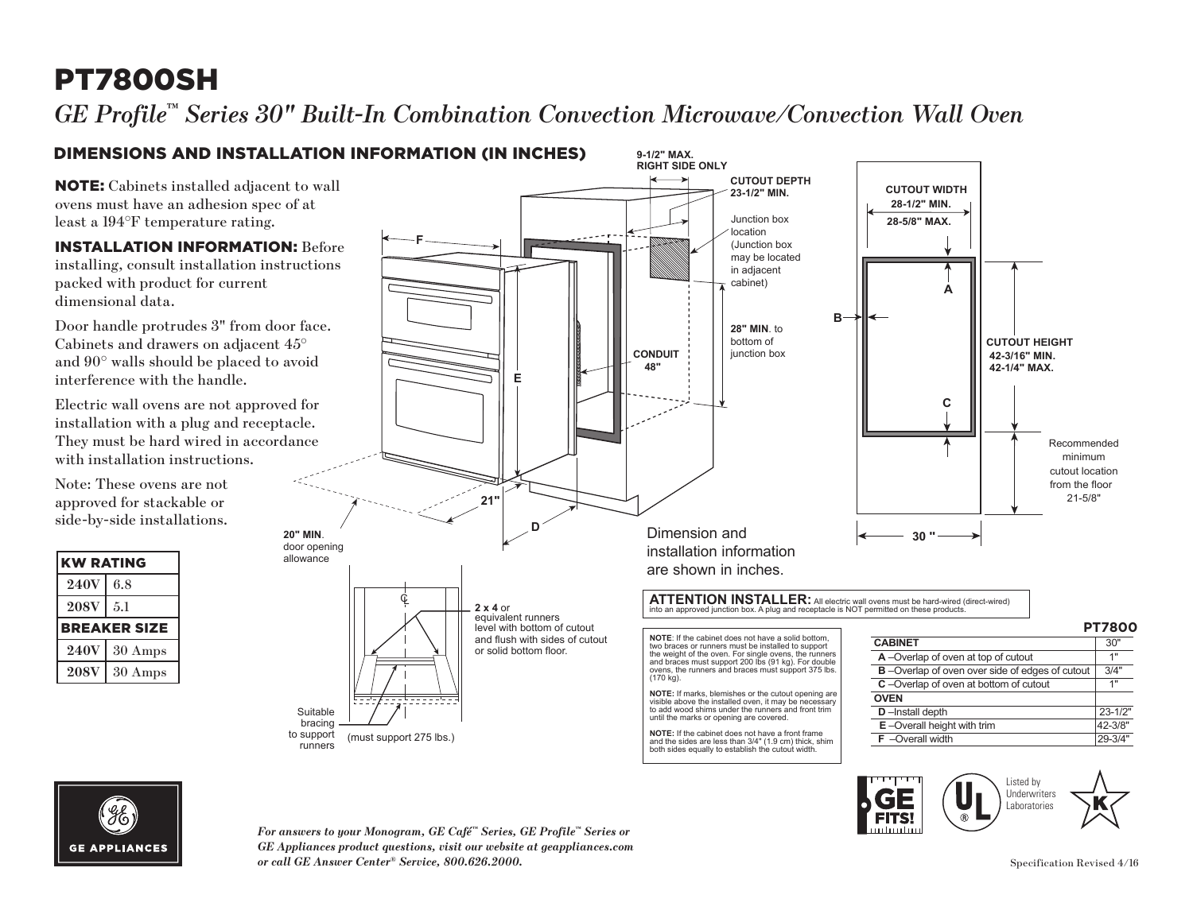# PT7800SH

*GE Profile™ Series 30" Built-In Combination Convection Microwave/Convection Wall Oven* 

### DIMENSIONS AND INSTALLATION INFORMATION (IN INCHES)

NOTE: Cabinets installed adjacent to wall ovens must have an adhesion spec of at least a 194°F temperature rating.

INSTALLATION INFORMATION: Before installing, consult installation instructions packed with product for current dimensional data.

Door handle protrudes 3" from door face. Cabinets and drawers on adjacent 45° and 90° walls should be placed to avoid interference with the handle.

Electric wall ovens are not approved for installation with a plug and receptacle. They must be hard wired in accordance with installation instructions.

Note: These ovens are not approved for stackable or side-by-side installations.

| <b>KW RATING</b>    |                   |
|---------------------|-------------------|
| <b>240V</b>         | 6.8               |
| <b>208V</b>         | 5.1               |
| <b>BREAKER SIZE</b> |                   |
| <b>240V</b>         | $30 \text{ Amps}$ |
| <b>208V</b>         | $30 \text{ Amps}$ |





*For answers to your Monogram, GE Café™ Series, GE Profile™ Series or GE Appliances product questions, visit our website at geappliances.com or call GE Answer Center® Service, 800.626.2000.*

Listed by Underwriters Laboratories

**FITS!**